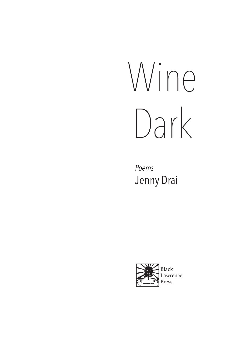# Wine Dark

*Poems*  Jenny Drai

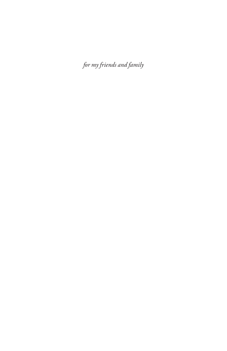*for my friends and family*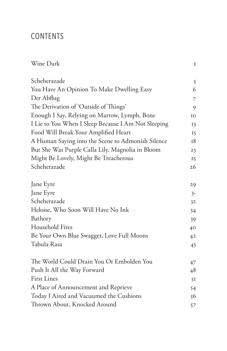# CONTENTS

| Wine Dark                                           | $\mathbf I$    |
|-----------------------------------------------------|----------------|
| Scheherazade                                        | 5              |
| You Have An Opinion To Make Dwelling Easy           | 6              |
| Der Abflug                                          | $\overline{7}$ |
| The Derivation of 'Outside of Things'               | 9              |
| Enough I Say, Relying on Marrow, Lymph, Bone        | IO             |
| I Lie to You When I Sleep Because I Am Not Sleeping | 13             |
| Food Will Break Your Amplified Heart                | 15             |
| A Human Saying into the Scene to Admonish Silence   | 18             |
| But She Was Purple Calla Lily, Magnolia in Bloom    | 23             |
| Might Be Lovely, Might Be Treacherous               | 25             |
| Scheherazade                                        | 26             |
| Jane Eyre                                           | 29             |
| Jane Eyre                                           | $3-$           |
| Scheherazade                                        | 32             |
| Heloise, Who Soon Will Have No Ink                  | 34             |
| Bathory                                             | 39             |
| Household Fires                                     | 40             |
| Be Your Own Blue Swagger, Love Full Moons           | 42             |
| Tabula Rasa                                         | 43             |
| The World Could Drain You Or Embolden You           | 47             |
| Push It All the Way Forward                         | 48             |
| <b>First Lines</b>                                  | 51             |
| A Place of Announcement and Reprieve                | 54             |
| Today I Aired and Vacuumed the Cushions             | 56             |
| Thrown About, Knocked Around                        | 57             |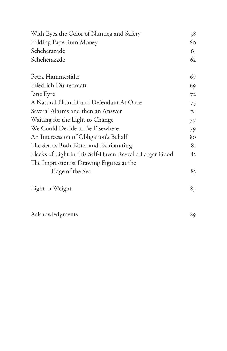| With Eyes the Color of Nutmeg and Safety                | 58 |
|---------------------------------------------------------|----|
| Folding Paper into Money                                | 60 |
| Scheherazade                                            | 61 |
| Scheherazade                                            | 62 |
| Petra Hammesfahr                                        | 67 |
| Friedrich Dürrenmatt                                    | 69 |
| Jane Eyre                                               | 72 |
| A Natural Plaintiff and Defendant At Once               | 73 |
| Several Alarms and then an Answer                       | 74 |
| Waiting for the Light to Change                         | 77 |
| We Could Decide to Be Elsewhere                         | 79 |
| An Intercession of Obligation's Behalf                  | 80 |
| The Sea as Both Bitter and Exhilarating                 | 8т |
| Flecks of Light in this Self-Haven Reveal a Larger Good | 82 |
| The Impressionist Drawing Figures at the                |    |
| Edge of the Sea                                         | 83 |
| Light in Weight                                         | 87 |
|                                                         |    |

Acknowledgments 89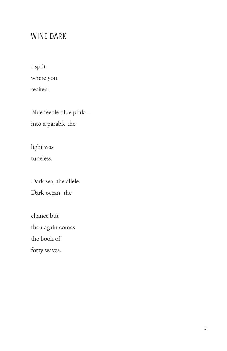#### WINE DARK

I split where you recited.

Blue feeble blue pink into a parable the

light was

tuneless.

Dark sea, the allele.

Dark ocean, the

chance but then again comes the book of forty waves.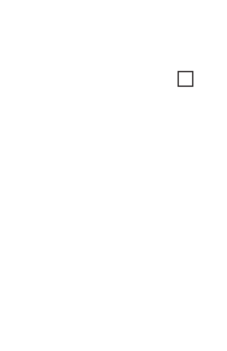$\Box$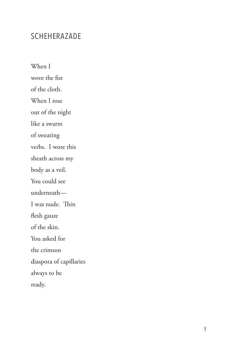#### SCHEHERAZADE

When I wove the fst of the cloth. When I rose out of the night like a swarm of sweating verbs. I wore this sheath across my body as a veil. You could see underneath— I was nude. Thin flesh gauze of the skin. You asked for the crimson diaspora of capillaries always to be ready.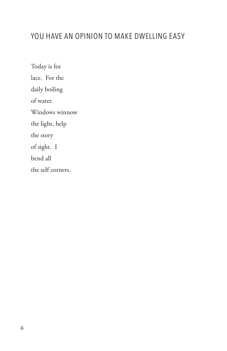# YOU HAVE AN OPINION TO MAKE DWELLING EASY

Today is for lace. For the daily boiling of water. Windows winnow the light, help the story of sight. I bend all the self corners.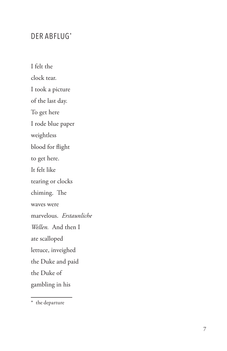#### DER ABFLUG \*

I felt the clock tear. I took a picture of the last day. To get here I rode blue paper weightless blood for fight to get here. It felt like tearing or clocks chiming. T e waves were marvelous. *Erstaunliche Wellen.* And then I ate scalloped lettuce, inveighed the Duke and paid the Duke of gambling in his

<sup>\*</sup> the departure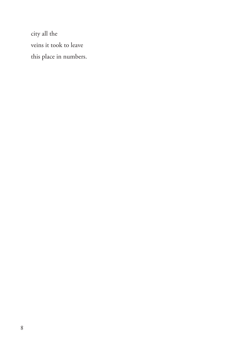city all the veins it took to leave this place in numbers.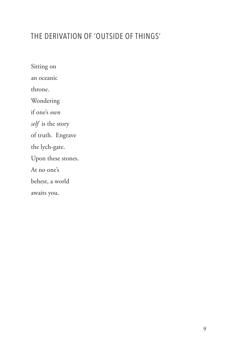# THE DERIVATION OF 'OUTSIDE OF THINGS'

Sitting on an oceanic throne. Wondering if one's *own self* is the story of truth. Engrave the lych-gate. Upon these stones. At no one's behest, a world awaits you.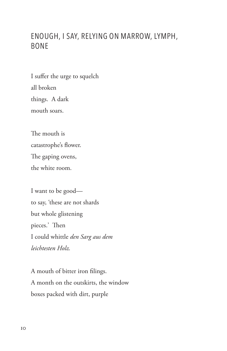#### ENOUGH, I SAY, RELYING ON MARROW, LYMPH, BONE

I sufer the urge to squelch all broken things. A dark mouth soars.

The mouth is catastrophe's fower. The gaping ovens, the white room.

I want to be good to say, 'these are not shards but whole glistening pieces.' Then I could whittle *den Sarg aus dem leichtesten Holz.*

A mouth of bitter iron flings. A month on the outskirts, the window boxes packed with dirt, purple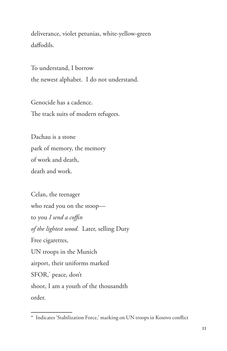deliverance, violet petunias, white-yellow-green dafodils.

To understand, I borrow the newest alphabet. I do not understand.

Genocide has a cadence. The track suits of modern refugees.

Dachau is a stone park of memory, the memory of work and death, death and work.

Celan, the teenager who read you on the stoop to you *I send a cofn of the lightest wood*. Later, selling Duty Free cigarettes, UN troops in the Munich airport, their uniforms marked SFOR,\* peace, don't shoot, I am a youth of the thousandth order.

<sup>\*</sup> Indicates 'Stabilization Force,' marking on UN troops in Kosovo confict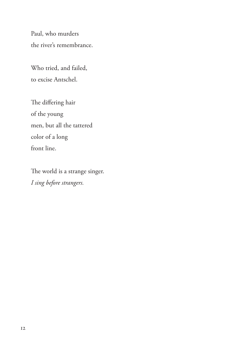Paul, who murders the river's remembrance.

Who tried, and failed, to excise Antschel.

The differing hair of the young men, but all the tattered color of a long front line.

The world is a strange singer. *I sing before strangers.*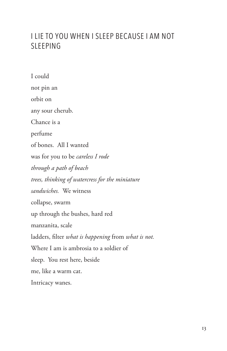### I LIE TO YOU WHEN I SLEEP BECAUSE I AM NOT SLEEPING

I could not pin an orbit on any sour cherub. Chance is a perfume of bones. All I wanted was for you to be *careless I rode through a path of beach trees, thinking of watercress for the miniature sandwiches.* We witness collapse, swarm up through the bushes, hard red manzanita, scale ladders, flter *what is happening* from *what is not.* Where I am is ambrosia to a soldier of sleep. You rest here, beside me, like a warm cat. Intricacy wanes.